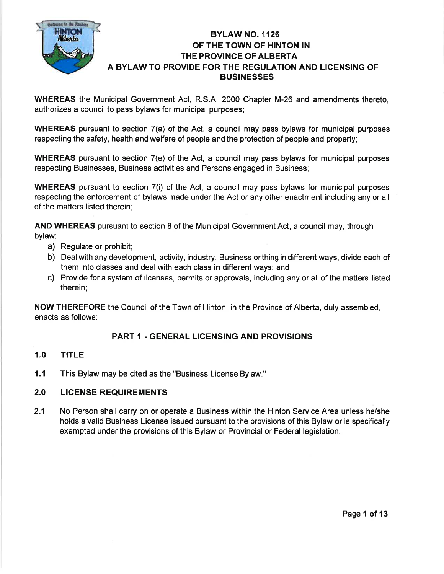

# BYLAW NO. 1126 OF THE TOWN OF HINTON IN THE PROVINCE OF ALBERTA A BYLAW TO PROVIDE FOR THE REGULATION AND LICENSING OF **BUSINESSES**

WHEREAS the Municipal Government Act, R.S.A, 2000 Chapter M-26 and amendments thereto, authorizes a council to pass bylaws for municipal purposes;

WHEREAS pursuant to section 7(a) of the Act, a council may pass bylaws for municipal purposes respecting the safety, health and welfare of people and the protection of people and property;

WHEREAS pursuant to section 7(e) of the Act, a council may pass bylaws for municipal purposes respecting Businesses, Business activities and Persons engaged in Business;

WHEREAS pursuant to section 7(i) of the Act, a council may pass bylaws for municipal purposes respecting the enforcement of bylaws made under the Act or any other enactment including any or all of the matters listed therein;

AND WHEREAS pursuant to section 8 of the Municipal Government Act, a council may, through bylaw:

- a) Regulate or prohibit;
- b) Dealwith any development, activity, industry, Business orthing in different ways, divide each of them into classes and deal with each class in different ways; and
- c) Provide for a system of licenses, permits or approvals, including any or all of the matters listed therein;

NOW THEREFORE the Council of the Town of Hinton, in the Province of Alberta, duly assembled, enacts as follows:

# PART 1 . GENERAL LIGENSING AND PROVISIONS

# 1.0 TITLE

This Bylaw may be cited as the "Business License Bylaw." 1.1

#### LICENSE REQUIREMENTS 2.0

2.1 No Person shall carry on or operate a Business within the Hinton Service Area unless he/she holds a valid Business License issued pursuant to the provisions of this Bylaw or is specifically exempted under the provisions of this Bylaw or Provincial or Federal legislation.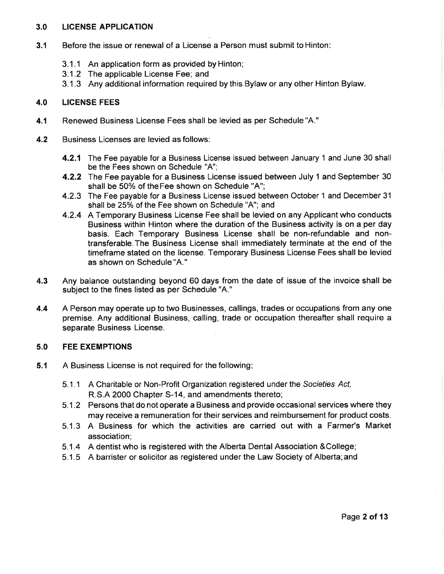#### 3.0 LICENSE APPLICATION

- 3.1 Before the issue or renewal of a License a Person must submit to Hinton
	- 3.1.1 An application form as provided by Hinton;
	- 3:1.2 The applicable License Fee; and
	- 3.1.3 Any additional information required by this Bylaw or any other Hinton Bylaw

#### 4.0 LICENSE FEES

- 4.1 Renewed Business License Fees shall be levied as per Schedule"A."
- 4.2 Business Licenses are levied as follows:
	- **4.2.1** The Fee payable for a Business License issued between January 1 and June 30 shall be the Fees shown on Schedule "A";
	- **4.2.2** The Fee payable for a Business License issued between July 1 and September 30 shall be 50% of theFee shown on Schedule "A";
	- 4.2.3 The Fee payable for a Business License issued between October 1 and December 31 shall be 25% of the Fee shown on Schedule "A"; and
	- 4.2.4 A Temporary Business License Fee shall be levied on any Applicant who conducts Business within Hinton where the duration of the Business activity is on a per day basis. Each Temporary Business License shall be non-refundable and nontransferable.The Business License shall immediately terminate at the end of the timeframe stated on the license. Temporary Business License Fees shall be levied as shown on Schedule "A."
- 4.3 Any balance outstanding beyond 60 days from the date of issue of the invoice shall be subject to the fines listed as per Schedule "A."
- 4.4 A Person may operate up to two Businesses, callings, trades or occupations from any one premise. Any additional Business, calling, trade or occupation thereafter shall require a separate Business License.

#### 5.0 FEE EXEMPTIONS

- 5.1 A Business License is not required for the following
	- 5.1.1 A Charitable or Non-Profit Organization registered under the Sociefies Act, R.S.A 2000 Chapter S-14, and amendments thereto;
	- 5.1.2 Persons that do not operate a Business and provide occasional services where they may receive a remuneration for their services and reimbursement for product costs.
	- 5.1.3 A Business for which the activities are carried out with a Farmer's Market association;
	- 5.1.4 A dentist who is registered with the Alberta Dental Association &College
	- 5.1 .5 A barrister or solicitor as registered under the Law Society of Alberta;and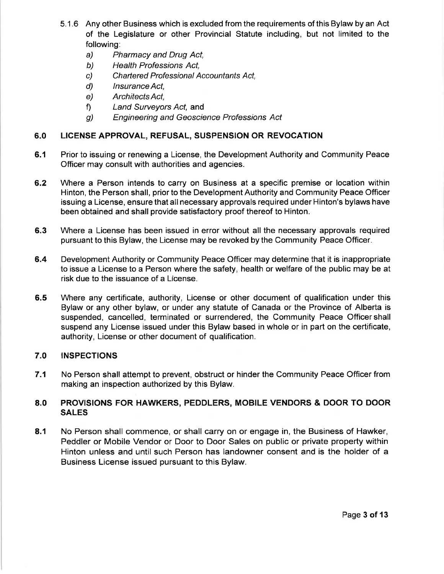- 5.1.6 Any other Business which is excluded from the requirements of this Bylaw by an Act of the Legislature or other Provincial Statute including, but not limited to the following:
	- a) Pharmacy and Drug Act,
	- b) Health Professions Act,
	- c) Chartered Professional Accountants Act,
	- d) lnsurance Act,
	- e) ArchitectsAct,
	- f) Land Surveyors Act, and
	- g) Engineering and Geoscience Professions Act

# 5.0 LICENSE APPROVAL, REFUSAL, SUSPENSION OR REVOCATION

- 6.1 Prior to issuing or renewing a License, the Development Authority and Community Peace Officer may consult with authorities and agencies.
- 6.2 Where a Person intends to carry on Business at a specific premise or location within Hinton, the Person shall, prior to the Development Authority and Community Peace Officer issuing a License, ensure that all necessary approvals required under Hinton's bylaws have been obtained and shall provide satisfactory proof thereof to Hinton.
- 6.3 Where a License has been issued in error without all the necessary approvals required pursuant to this Bylaw, the License may be revoked by the Community Peace Officer.
- 6.4 Development Authority or Community Peace Officer may determine that it is inappropriate to issue a License to a Person where the safety, health or welfare of the public may be at risk due to the issuance of a License.
- Where any certificate, authority, License or other document of qualification under this Bylaw or any other bylaw, or under any statute of Canada or the Province of Alberta is suspended, cancelled, terminated or surrendered, the Community Peace Officershall suspend any License issued under this Bylaw based in whole or in part on the certificate, authority, License or other document of qualification. 6.5

# 7.O INSPECTIONS

7.1 No Person shall attempt to prevent, obstruct or hinder the Community Peace Officer from making an inspection authorized by this Bylaw.

# 8.0 PROVISIONS FOR HAWKERS, PEDDLERS, MOBILE VENDORS & DOOR TO DOOR SALES

8.1 No Person shall commence, or shall carry on or engage in, the Business of Hawker, Peddler or Mobile Vendor or Door to Door Sales on public or private property within Hinton unless and until such Person has landowner consent and is the holder of a Business License issued pursuant to this Bylaw.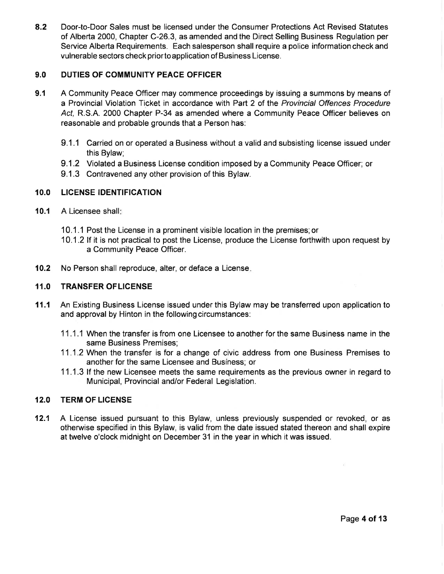8.2 Door-to-Door Sales must be licensed under the Consumer Protections Act Revised Statutes of Alberta 2000, Chapter C-26.3, as amended and the Direct Selling Business Regulation per Service Alberta Requirements. Each salesperson shall require a police information check and vulnerable sectors check priorto application of Business License.

## 9.0 DUTIES OF COMMUNITY PEACE OFFICER

- A Community Peace Officer may commence proceedings by issuing a summons by means of a Provincial Violation Ticket in accordance with Part 2 of the Provincial Offences Procedure Act. R.S.A. 2000 Chapter P-34 as amended where a Community Peace Officer believes on reasonable and probable grounds that a Person has: 9.1
	- 9.1.1 Carried on or operated a Business without a valid and subsisting license issued under this Bylaw;
	- 9.1.2 Violated a Business License condition imposed by a Community Peace Officer; or
	- 9.1.3 Contravened any other provision of this Bylaw.

## 10.0 LICENSE IDENTIFICATION

- 10.1 A Licensee shall:
	- 10.1.1 Post the License in a prominent visible location in the premises;or
	- 10.1.2|f it is not practical to post the License, produce the License forthwith upon request by a Community Peace Officer.
- 10.2 No Person shall reproduce, alter, or deface a License.

## {1.0 TRANSFER OFLIGENSE

- 11.1 An Existing Business License issued under this Bylaw may be transferred upon application to and approval by Hinton in the following circumstances:
	- 11.1.1 When the transfer is from one Licensee to another for the same Business name in the same Business Premises;
	- 11.1.2 When the transfer isfor a change of civic address from one Business Premises to another for the same Licensee and Business; or
	- 11.1.3 lf the new Licensee meets the same requirements as the previous owner in regard to Municipal, Provincial and/or Federal Legislation.

## 12.0 TERM OF LICENSE

12.1 A License issued pursuant to this Bylaw, unless previously suspended or revoked, or as otheruvise specified in this Bylaw, is valid from the date issued stated thereon and shall expire at twelve o'clock midnight on December 31 in the year in which it was issued.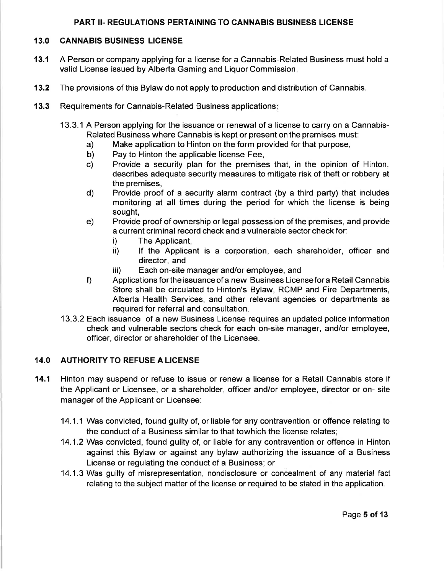## PART II. REGULATIONS PERTAINING TO CANNABIS BUSINESS LICENSE

#### 13.0 CANNABIS BUSINESS LICENSE

- 13.1 A Person or company applying for a license for a Cannabis-Related Business must hold <sup>a</sup> valid License issued by Alberta Gaming and Liquor Commission.
- 13.2 The provisions of this Bylaw do not apply to production and distribution of Cannabis.
- 13.3 Requirements for Cannabis-Related Business applications:
	- 13.3.1 A Person applying for the issuance or renewal of a license to carry on a Cannabis-Related Business where Cannabis is kept or present on the premises must:
		- a) Make application to Hinton on the form provided for that purpose,
		- b) Pay to Hinton the applicable license Fee,<br>c) Provide a security plan for the premise
		- Provide a security plan for the premises that, in the opinion of Hinton, describes adequate security measures to mitigate risk of theft or robbery at the premises,
		- d) Provide proof of a security alarm contract (by a third party) that includes monitoring at all times during the period for which the license is being sought,
		- e) Provide proof of ownership or legal possession of the premises, and provide a current criminal record check and a vulnerable sector check for:
			- i) The Applicant,
			- ii) lf the Applicant is a corporation, each shareholder, officer and director, and
			- iii) Each on-site manager and/or employee, and
		- f) Applications for the issuance of a new Business License for a Retail Cannabis Store shall be circulated to Hinton's Bylaw, RCMP and Fire Departments, Alberta Health Services, and other relevant agencies or departments as required for referral and consultation.
	- 13.3.2 Each issuance of a new Business License requires an updated police information check and vulnerable sectors check for each on-site manager, and/or employee, officer, director or shareholder of the Licensee.

## 14.0 AUTHORITY TO REFUSE A LICENSE

- 14.1 Hinton may suspend or refuse to issue or renew a license for a Retail Cannabis store if the Applicant or Licensee, or a shareholder, officer and/or employee, director or on- site manager of the Applicant or Licensee:
	- 14.1.1 Was convicted, found guilty of, or liable for any contravention or offence relating to the conduct of a Business similar to that towhich the license relates;
	- 14.1.2 Was convicted, found guilty of, or liable for any contravention or offence in Hinton against this Bylaw or against any bylaw authorizing the issuance of a Business License or regulating the conduct of a Business; or
	- 14.1.3 Was guilty of misrepresentation, nondisclosure or concealment of any material fact relating to the subject matter of the license or required to be stated in the application.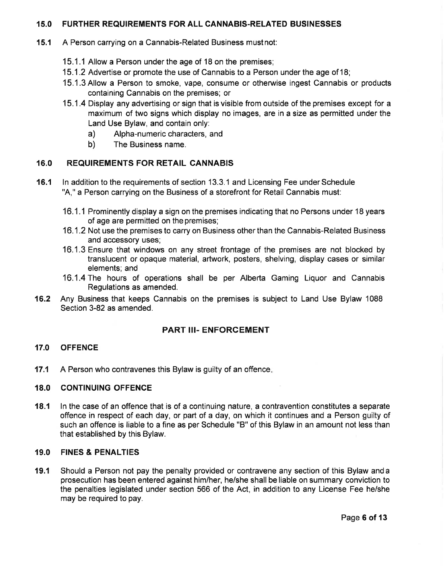## 15.0 FURTHER REQUIREMENTS FOR ALL CANNABIS.RELATED BUSINESSES

- '15.1 A Person carrying on a Cannabis-Related Business mustnot:
	- 15.1 .1 Allow a Person under the age of 18 on the premises;
	- 15.1 .2 Advertise or promote the use of Cannabis to a Person under the age of 18;
	- 15.1.3Allow a Person to smoke, vape, consume or otherwise ingest Cannabis or products containing Cannabis on the premises; or
	- 15.1.4 Display any advertising or sign that is visible from outside of the premises except for a maximum of two signs which display no images, are in a size as permitted under the Land Use Bylaw, and contain only:
		- a) Alpha-numeric characters, and
		- b) The Business name.

## 16.0 REQUIREMENTS FOR RETAIL CANNABIS

- 16.1 ln addition to the requirements of section 13.3.1 and Licensing Fee under Schedule "A," a Person carrying on the Business of a storefront for Retail Cannabis must:
	- 16.1.1 Prominently display a sign on the premises indicating that no Persons under 18 years of age are permitted on the premises;
	- 16.1.2 Not use the premises to carry on Business other than the Cannabis-Related Business and accessory uses;
	- 16.1.3 Ensure that windows on any street frontage of the premises are not blocked by translucent or opaque material, artwork, posters, shelving, display cases or similar elements; and
	- 16.1.4The hours of operations shall be per Alberta Gaming Liquor and Cannabis Regulations as amended.
- 16.2 Any Business that keeps Cannabis on the premises is subject to Land Use Bylaw 1088 Section 3-82 as amended.

#### PART III- ENFORCEMENT

## 17.0 OFFENCE

17.1 A Person who contravenes this Bylaw is guilty of an offence.

### 18.0 CONTINUING OFFENCE

18.1 ln the case of an offence that is of a continuing nature, a contravention constitutes a separate offence in respect of each day, or part of a day, on which it continues and a Person guilty of such an offence is liable to a fine as per Schedule "B" of this Bylaw in an amount not less than that established by this Bylaw.

#### 19.0 FINES & PENALTIES

19.1 Should a Person not pay the penalty provided or contravene any section of this Bylaw anda prosecution has been entered against him/her, he/she shall be liable on summary conviction to the penalties legislated under section 566 of the Act, in addition to any License Fee he/she may be required to pay.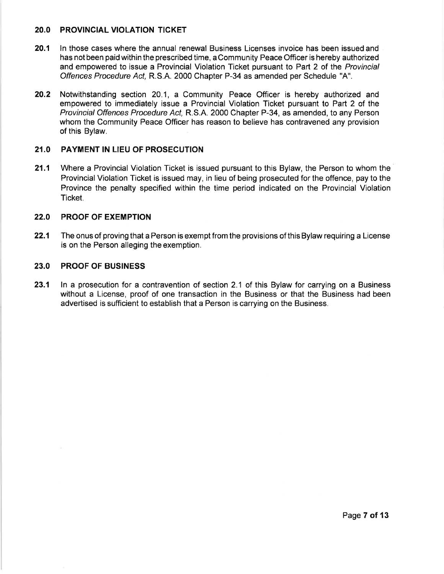#### 2O.O PROVINCIAL VIOLATION TICKET

- 20.1 In those cases where the annual renewal Business Licenses invoice has been issued and has not been paid within the prescribed time, a Community Peace Officer is hereby authorized and empowered to issue a Provincial Violation Ticket pursuant to Part 2 of the Provincial Offences Procedure Act, R.S.A. 2000 Chapter P-34 as amended per Schedule "A".
- 20.2 Notwithstanding section 20.1, a Community Peace Officer is hereby authorized and empowered to immediately issue a Provincial Violation Ticket pursuant to Part 2 of the Provincial Offences Procedure Acl R.S.A. 2000 Chapter P-34, as amended, to any Person whom the Community Peace Officer has reason to believe has contravened any provision of this Bylaw.

## 21.0 PAYMENT IN LIEU OF PROSECUTION

21.1 Where a Provincial Violation Ticket is issued pursuant to this Bylaw, the Person to whom the Provincial Violation Ticket is issued may, in lieu of being prosecuted for the offence, pay to the Province the penalty specified within the time period indicated on the Provincial Violation Ticket.

#### 22.0 PROOF OF EXEMPTION

22.1 The onus of proving that a Person is exempt from the provisions of this Bylaw requiring a License is on the Person alleging the exemption.

## 23.0 PROOF OF BUSINESS

23.1 In a prosecution for a contravention of section 2.1 of this Bylaw for carrying on a Business without a License, proof of one transaction in the Business or that the Business had been advertised is sufficient to establish that a Person is carrying on the Business.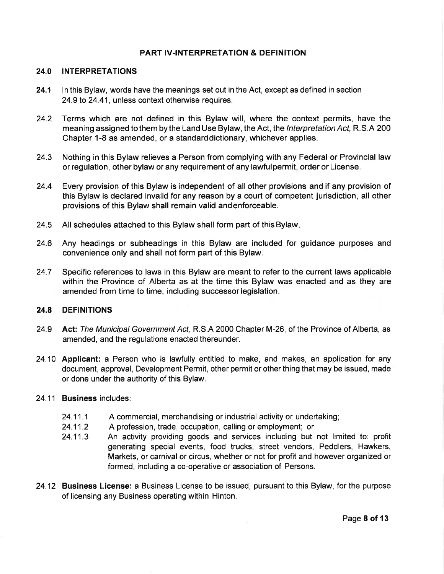### PART IV.INTERPRETATION & DEFINITION

#### 24.0 INTERPRETATIONS

- 24.1 In this Bylaw, words have the meanings set out in the Act, except as defined in section 24.9 to 24.41, unless context otherwise requires.
- 24.2 Terms which are not defined in this Bylaw will, where the context permits, have the meaning assigned to them by the Land Use Bylaw, the Act, the *Interpretation Act*, R.S.A 200 Chapter 1-8 as amended, or a standarddictionary, whichever applies.
- 24,3 Nothing in this Bylaw relieves a Person from complying with any Federal or Provincial law or regulation, other bylaw or any requirement of any lawfulpermit, order or License.
- 24.4 Every provision of this Bylaw is independent of all other provisions and if any provision of this Bylaw is declared invalid for any reason by a court of competent jurisdiction, all other provisions of this Bylaw shall remain valid andenforceable.
- 24.5 All schedules attached to this Bylaw shall form part of this Bylaw
- 24.6 Any headings or subheadings in this Bylaw are included for guidance purposes and convenience only and shall not form part of this Bylaw.
- 24.7 Specific references to laws in this Bylaw are meant to refer to the current laws applicable within the Province of Alberta as at the time this Bylaw was enacted and as they are amended from time to time, including successor legislation.

## 24.8 DEFINITIONS

- 24.9 Act: The Municipal Government Act, R.S.A 2000 Chapter M-26, of the Province of Alberta, as amended, and the regulations enacted thereunder.
- 24.10 Applicant: a Person who is lawfully entitled to make, and makes, an application for any document, approval, Development Permit, other permit or other thing that may be issued, made or done under the authority of this Bylaw.
- 24.11 Business includes
	- 24.11.1 A commercial, merchandising or industrial activity or undertaking;
	- 24.11.2 A profession, trade, occupation, calling or employment; or
	- 24.11.3 An activity providing goods and services including but not limited to: profit generating special events, food trucks, street vendors, Peddlers, Hawkers, Markets, or carnival or circus, whether or not for profit and however organized or formed, including a co-operative or association of Persons.
- 24.12 Business License: a Business License to be issued, pursuant to this Bylaw, for the purpose of licensing any Business operating within Hinton.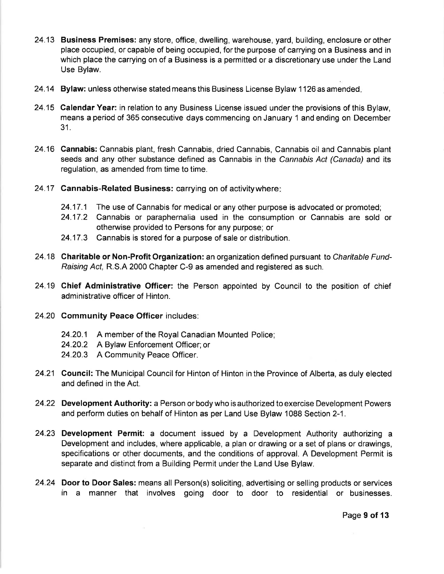- 24.13 Business Premises: any store, office, dwelling, warehouse, yard, building, enclosure orother place occupied, or capable of being occupied, forthe purpose of carrying on a Business and in which place the carrying on of a Business is a permitted or a discretionary use under the Land Use Bylaw.
- 24.14 Bylaw: unless otherwise stated means this Business License Bylaw 1126 as amended.
- 24.15 Calendar Year: in relation to any Business License issued under the provisions of this Bylaw, means a period of 365 consecutive days commencing on January 1 and ending on December 31.
- 24.16 Cannabis: Cannabis plant, fresh Cannabis, dried Cannabis, Cannabis oil and Cannabis plant seeds and any other substance defined as Cannabis in the Cannabis Act (Canada) and its regulation, as amended from time to time.
- 24.17 Cannabis-Related Business: carrying on of activitywhere
	- 24.17.1 The use of Cannabis for medical or any other purpose is advocated or promoted
	- 24.17.2 Cannabis or paraphernalia used in the consumption or Cannabis are sold or otherwise provided to Persons for any purpose; or
	- 24.17.3 Cannabis is stored for a purpose of sale or distribution.
- 24.18 Charitable or Non-Profit Organization: an organization defined pursuant to Charitable Fund-Raising Act, R.S.A 2000 Chapter C-9 as amended and registered as such.
- 24.19 Chief Administrative Officer: the Person appointed by Council to the position of chief administrative officer of Hinton.
- 24.20 Gommunity Peace Officer includes:
	- 24.20.1 A member of the Royal Canadian Mounted Police;
	- 24.20.2 A Bylaw Enforcement Officer;or
	- 24.20.3 A Community Peace Officer.
- 24.21 Council: The Municipal Council for Hinton of Hinton in the Province of Alberta, as duly elected and defined in the Act.
- 24.22 Development Authority: a Person or body who is authorized to exercise Development Powers and perform duties on behalf of Hinton as per Land Use Bylaw 1088 Section 2-1.
- 24.23 Development Permit: a document issued by a Development Authority authorizing a Development and includes, where applicable, a plan or drawing or a set of plans or drawings, specifications or other documents, and the conditions of approval. A Development Permit is separate and distinct from a Building Permit under the Land Use Bylaw.
- 24.24 Door to Door Sales: means all Person(s) soliciting, advertising or selling products or services in a manner that involves going door to door to residential or businesses.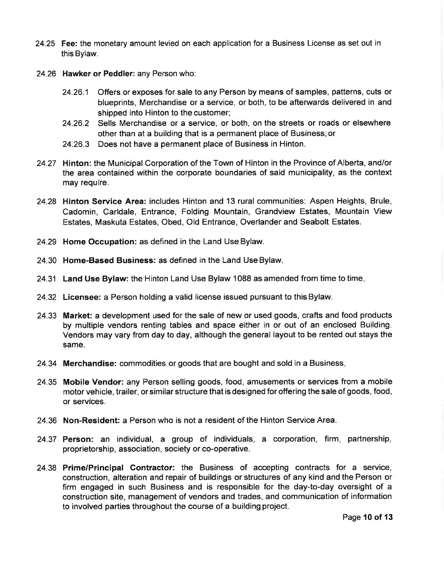- 24.25 Fee: the monetary amount levied on each application for a Business License as set out in this Bylaw.
- 24.26 Hawker or Peddler: any Person who:
	- 24.26.1 Offers or exposes for sale to any Person by means of samples, patterns, cuts or blueprints, Merchandise or a service, or both, to be afterwards delivered in and shipped into Hinton to the customer;
	- 24.26.2 Sells Merchandise or a service, or both, on the streets or roads or elsewhere other than at a building that is a permanent place of Business;or
	- 24.26.3 Does not have a permanent place of Business in Hinton.
- 24.27 Hinton: the Municipal Corporation of the Town of Hinton in the Province of Alberta, and/or the area contained within the corporate boundaries of said municipality, as the context may require.
- 24.28 Hinton Service Area: includes Hinton and 13 rural communities: Aspen Heights, Brule, Cadomin, Carldale, Entrance, Folding Mountain, Grandview Estates, Mountain View Estates, Maskuta Estates, Obed, Old Entrance, Overlander and Seabolt Estates.
- 24.29 Home Occupation: as defined in the Land Use Bylaw.
- 24.30 Home-Based Business: as defined in the Land Use Bylaw.
- 24.31 Land Use Bylaw: the Hinton Land Use Bylaw 1088 as amended from time to time.
- 24.32 Licensee: a Person holding a valid license issued pursuant to this Bylaw.
- 24.33 Market: a development used for the sale of new or used goods, crafts and food products by multiple vendors renting tables and space either in or out of an enclosed Building. Vendors may vary from day to day, although the general layout to be rented out stays the same.
- 24.34 Merchandise: commodities or goods that are bought and sold in a Business
- 24.35 Mobile Vendor: any Person selling goods, food, amusements or services from a mobile motor vehicle, trailer, orsimilar structure that is designed for offering the sale of goods, food, or services.
- 24.36 Non-Resident: a Person who is not a resident of the Hinton Service Area.
- 24.37 Person: an individual, a group of individuals, a corporation, firm, partnership, proprietorship, association, society or co-operative.
- 24.38 Prime/Principal Gontractor: the Business of accepting contracts for a service, construction, alteration and repair of buildings or structures of any kind and the Person or firm engaged in such Business and is responsible for the day-to-day oversight of <sup>a</sup> construction site, management of vendors and trades, and communication of information to involved parties throughout the course of a building project.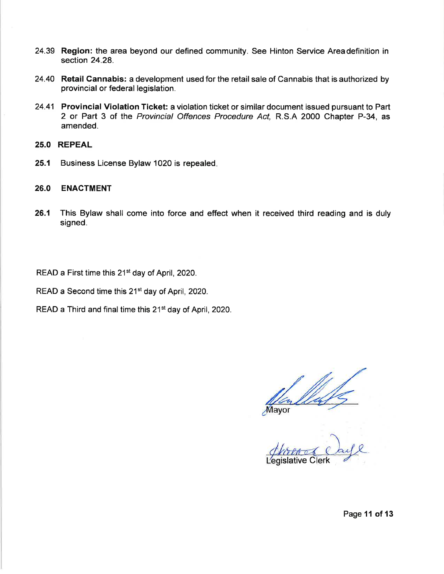- 24.39 Region: the area beyond our defined community. See Hinton Service Areadefinition in section 24.28.
- 24.40 Retail Cannabis: a development used for the retail sale of Cannabis that is authorized by provincial or federal legislation.
- 24.41 Provincial Violation Ticket: a violation ticket or similar document issued pursuant to Part 2 or Part 3 of the Provincial Offences Procedure Act, R.S.A 2000 Chapter P-34, as amended.
- 25.0 REPEAL
- 25.1 Business License Bylaw 1020 is repealed

### 26.0 ENACTMENT

26.1 This Bylaw shall come into force and effect when it received third reading and is duly signed.

READ a First time this 21<sup>st</sup> day of April, 2020.

READ a Second time this 21<sup>st</sup> day of April, 2020.

READ a Third and final time this 21<sup>st</sup> day of April, 2020.

Mayor

islative Clerk

Page 11 of 13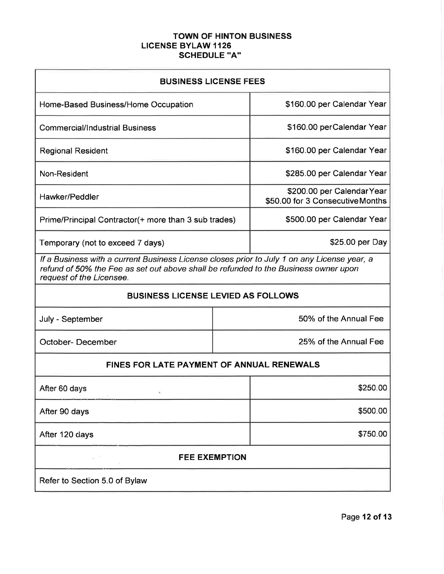# TOWN OF HINTON BUSINESS LICENSE BYLAW 1126 SCHEDULE "A"

| <b>BUSINESS LICENSE FEES</b>                                                                                                                                                                                   |                       |                                                                |  |
|----------------------------------------------------------------------------------------------------------------------------------------------------------------------------------------------------------------|-----------------------|----------------------------------------------------------------|--|
| Home-Based Business/Home Occupation                                                                                                                                                                            |                       | \$160.00 per Calendar Year                                     |  |
| <b>Commercial/Industrial Business</b>                                                                                                                                                                          |                       | \$160.00 perCalendar Year                                      |  |
| <b>Regional Resident</b>                                                                                                                                                                                       |                       | \$160.00 per Calendar Year                                     |  |
| Non-Resident                                                                                                                                                                                                   |                       | \$285.00 per Calendar Year                                     |  |
| Hawker/Peddler                                                                                                                                                                                                 |                       | \$200.00 per Calendar Year<br>\$50.00 for 3 Consecutive Months |  |
| Prime/Principal Contractor(+ more than 3 sub trades)                                                                                                                                                           |                       | \$500.00 per Calendar Year                                     |  |
| Temporary (not to exceed 7 days)                                                                                                                                                                               |                       | \$25.00 per Day                                                |  |
| If a Business with a current Business License closes prior to July 1 on any License year, a<br>refund of 50% the Fee as set out above shall be refunded to the Business owner upon<br>request of the Licensee. |                       |                                                                |  |
| <b>BUSINESS LICENSE LEVIED AS FOLLOWS</b>                                                                                                                                                                      |                       |                                                                |  |
| July - September                                                                                                                                                                                               | 50% of the Annual Fee |                                                                |  |
| <b>October-December</b>                                                                                                                                                                                        | 25% of the Annual Fee |                                                                |  |
| <b>FINES FOR LATE PAYMENT OF ANNUAL RENEWALS</b>                                                                                                                                                               |                       |                                                                |  |
| After 60 days<br>٠,                                                                                                                                                                                            |                       | \$250.00                                                       |  |
| After 90 days                                                                                                                                                                                                  |                       | \$500.00                                                       |  |
| After 120 days                                                                                                                                                                                                 |                       | \$750.00                                                       |  |
| <b>FEE EXEMPTION</b><br>$\alpha$                                                                                                                                                                               |                       |                                                                |  |
| Refer to Section 5.0 of Bylaw                                                                                                                                                                                  |                       |                                                                |  |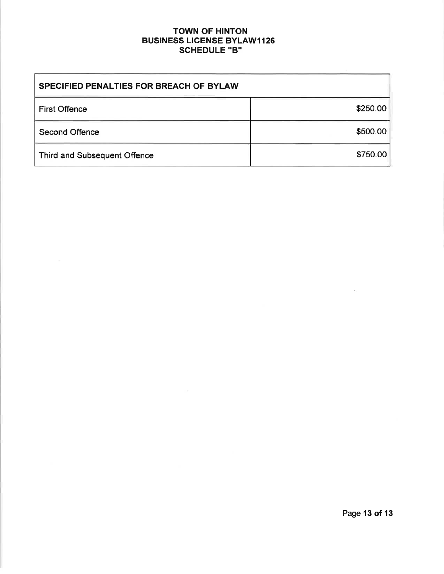# TOWN OF HINTON **BUSINESS LICENSE BYLAW1126** SCHEDULE "B"

| <b>SPECIFIED PENALTIES FOR BREACH OF BYLAW</b> |          |  |
|------------------------------------------------|----------|--|
| <b>First Offence</b>                           | \$250.00 |  |
| <b>Second Offence</b>                          | \$500.00 |  |
| <b>Third and Subsequent Offence</b>            | \$750.00 |  |